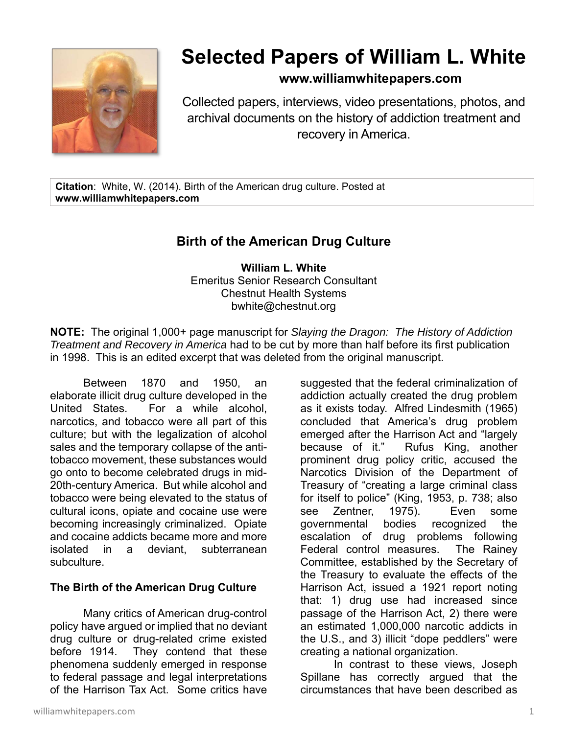

# **Selected Papers of William L. White**

## **www.williamwhitepapers.com**

Collected papers, interviews, video presentations, photos, and archival documents on the history of addiction treatment and recovery in America.

**Citation**: White, W. (2014). Birth of the American drug culture. Posted at **www.williamwhitepapers.com** 

# **Birth of the American Drug Culture**

**William L. White**  Emeritus Senior Research Consultant Chestnut Health Systems bwhite@chestnut.org

**NOTE:** The original 1,000+ page manuscript for *Slaying the Dragon: The History of Addiction Treatment and Recovery in America* had to be cut by more than half before its first publication in 1998. This is an edited excerpt that was deleted from the original manuscript.

Between 1870 and 1950, an elaborate illicit drug culture developed in the United States. For a while alcohol, narcotics, and tobacco were all part of this culture; but with the legalization of alcohol sales and the temporary collapse of the antitobacco movement, these substances would go onto to become celebrated drugs in mid-20th-century America. But while alcohol and tobacco were being elevated to the status of cultural icons, opiate and cocaine use were becoming increasingly criminalized. Opiate and cocaine addicts became more and more isolated in a deviant, subterranean subculture.

#### **The Birth of the American Drug Culture**

Many critics of American drug-control policy have argued or implied that no deviant drug culture or drug-related crime existed before 1914. They contend that these phenomena suddenly emerged in response to federal passage and legal interpretations of the Harrison Tax Act. Some critics have

suggested that the federal criminalization of addiction actually created the drug problem as it exists today. Alfred Lindesmith (1965) concluded that America's drug problem emerged after the Harrison Act and "largely because of it." Rufus King, another prominent drug policy critic, accused the Narcotics Division of the Department of Treasury of "creating a large criminal class for itself to police" (King, 1953, p. 738; also see Zentner, 1975). Even some governmental bodies recognized the escalation of drug problems following Federal control measures. The Rainey Committee, established by the Secretary of the Treasury to evaluate the effects of the Harrison Act, issued a 1921 report noting that: 1) drug use had increased since passage of the Harrison Act, 2) there were an estimated 1,000,000 narcotic addicts in the U.S., and 3) illicit "dope peddlers" were creating a national organization.

 In contrast to these views, Joseph Spillane has correctly argued that the circumstances that have been described as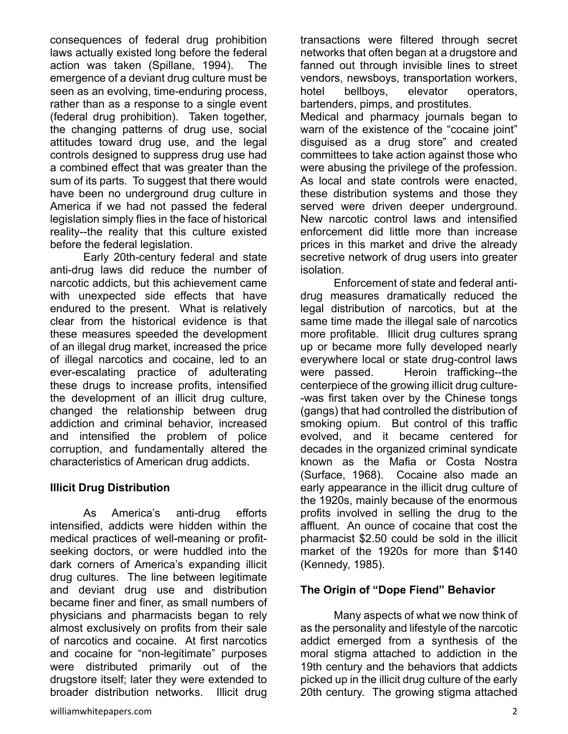consequences of federal drug prohibition laws actually existed long before the federal action was taken (Spillane, 1994). The emergence of a deviant drug culture must be seen as an evolving, time-enduring process, rather than as a response to a single event (federal drug prohibition). Taken together, the changing patterns of drug use, social attitudes toward drug use, and the legal controls designed to suppress drug use had a combined effect that was greater than the sum of its parts. To suggest that there would have been no underground drug culture in America if we had not passed the federal legislation simply flies in the face of historical reality--the reality that this culture existed before the federal legislation.

Early 20th-century federal and state anti-drug laws did reduce the number of narcotic addicts, but this achievement came with unexpected side effects that have endured to the present. What is relatively clear from the historical evidence is that these measures speeded the development of an illegal drug market, increased the price of illegal narcotics and cocaine, led to an ever-escalating practice of adulterating these drugs to increase profits, intensified the development of an illicit drug culture, changed the relationship between drug addiction and criminal behavior, increased and intensified the problem of police corruption, and fundamentally altered the characteristics of American drug addicts.

#### **Illicit Drug Distribution**

As America's anti-drug efforts intensified, addicts were hidden within the medical practices of well-meaning or profitseeking doctors, or were huddled into the dark corners of America's expanding illicit drug cultures. The line between legitimate and deviant drug use and distribution became finer and finer, as small numbers of physicians and pharmacists began to rely almost exclusively on profits from their sale of narcotics and cocaine. At first narcotics and cocaine for "non-legitimate" purposes were distributed primarily out of the drugstore itself; later they were extended to broader distribution networks. Illicit drug

transactions were filtered through secret networks that often began at a drugstore and fanned out through invisible lines to street vendors, newsboys, transportation workers, hotel bellboys, elevator operators, bartenders, pimps, and prostitutes. Medical and pharmacy journals began to warn of the existence of the "cocaine joint" disguised as a drug store" and created committees to take action against those who were abusing the privilege of the profession. As local and state controls were enacted, these distribution systems and those they served were driven deeper underground. New narcotic control laws and intensified enforcement did little more than increase prices in this market and drive the already secretive network of drug users into greater isolation.

Enforcement of state and federal antidrug measures dramatically reduced the legal distribution of narcotics, but at the same time made the illegal sale of narcotics more profitable. Illicit drug cultures sprang up or became more fully developed nearly everywhere local or state drug-control laws were passed. Heroin trafficking--the centerpiece of the growing illicit drug culture- -was first taken over by the Chinese tongs (gangs) that had controlled the distribution of smoking opium. But control of this traffic evolved, and it became centered for decades in the organized criminal syndicate known as the Mafia or Costa Nostra (Surface, 1968). Cocaine also made an early appearance in the illicit drug culture of the 1920s, mainly because of the enormous profits involved in selling the drug to the affluent. An ounce of cocaine that cost the pharmacist \$2.50 could be sold in the illicit market of the 1920s for more than \$140 (Kennedy, 1985).

#### **The Origin of "Dope Fiend" Behavior**

Many aspects of what we now think of as the personality and lifestyle of the narcotic addict emerged from a synthesis of the moral stigma attached to addiction in the 19th century and the behaviors that addicts picked up in the illicit drug culture of the early 20th century. The growing stigma attached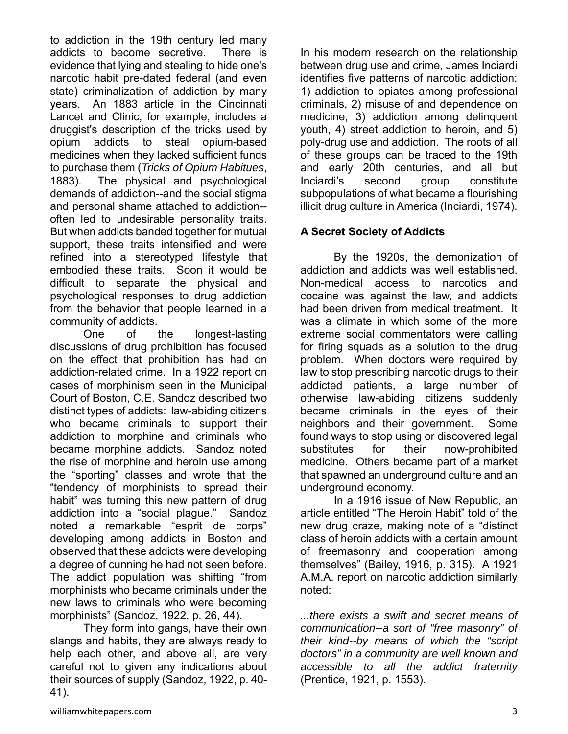to addiction in the 19th century led many addicts to become secretive. There is evidence that lying and stealing to hide one's narcotic habit pre-dated federal (and even state) criminalization of addiction by many years. An 1883 article in the Cincinnati Lancet and Clinic, for example, includes a druggist's description of the tricks used by opium addicts to steal opium-based medicines when they lacked sufficient funds to purchase them (*Tricks of Opium Habitues*, 1883). The physical and psychological demands of addiction--and the social stigma and personal shame attached to addiction- often led to undesirable personality traits. But when addicts banded together for mutual support, these traits intensified and were refined into a stereotyped lifestyle that embodied these traits. Soon it would be difficult to separate the physical and psychological responses to drug addiction from the behavior that people learned in a community of addicts.

One of the longest-lasting discussions of drug prohibition has focused on the effect that prohibition has had on addiction-related crime. In a 1922 report on cases of morphinism seen in the Municipal Court of Boston, C.E. Sandoz described two distinct types of addicts: law-abiding citizens who became criminals to support their addiction to morphine and criminals who became morphine addicts. Sandoz noted the rise of morphine and heroin use among the "sporting" classes and wrote that the "tendency of morphinists to spread their habit" was turning this new pattern of drug addiction into a "social plague." Sandoz noted a remarkable "esprit de corps" developing among addicts in Boston and observed that these addicts were developing a degree of cunning he had not seen before. The addict population was shifting "from morphinists who became criminals under the new laws to criminals who were becoming morphinists" (Sandoz, 1922, p. 26, 44).

 They form into gangs, have their own slangs and habits, they are always ready to help each other, and above all, are very careful not to given any indications about their sources of supply (Sandoz, 1922, p. 40- 41).

In his modern research on the relationship between drug use and crime, James Inciardi identifies five patterns of narcotic addiction: 1) addiction to opiates among professional criminals, 2) misuse of and dependence on medicine, 3) addiction among delinquent youth, 4) street addiction to heroin, and 5) poly-drug use and addiction. The roots of all of these groups can be traced to the 19th and early 20th centuries, and all but Inciardi's second group constitute subpopulations of what became a flourishing illicit drug culture in America (Inciardi, 1974).

### **A Secret Society of Addicts**

By the 1920s, the demonization of addiction and addicts was well established. Non-medical access to narcotics and cocaine was against the law, and addicts had been driven from medical treatment. It was a climate in which some of the more extreme social commentators were calling for firing squads as a solution to the drug problem. When doctors were required by law to stop prescribing narcotic drugs to their addicted patients, a large number of otherwise law-abiding citizens suddenly became criminals in the eyes of their neighbors and their government. Some found ways to stop using or discovered legal substitutes for their now-prohibited medicine. Others became part of a market that spawned an underground culture and an underground economy.

 In a 1916 issue of New Republic, an article entitled "The Heroin Habit" told of the new drug craze, making note of a "distinct class of heroin addicts with a certain amount of freemasonry and cooperation among themselves" (Bailey, 1916, p. 315). A 1921 A.M.A. report on narcotic addiction similarly noted:

*...there exists a swift and secret means of communication--a sort of "free masonry" of their kind--by means of which the "script doctors" in a community are well known and accessible to all the addict fraternity* (Prentice, 1921, p. 1553).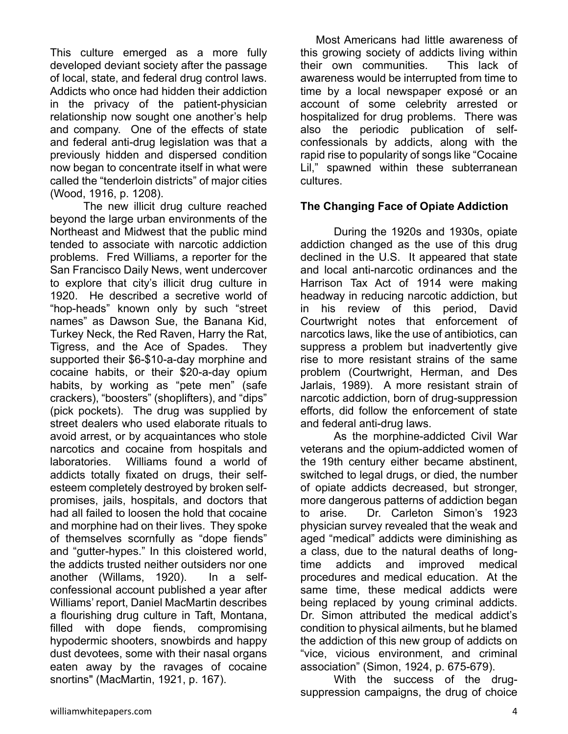This culture emerged as a more fully developed deviant society after the passage of local, state, and federal drug control laws. Addicts who once had hidden their addiction in the privacy of the patient-physician relationship now sought one another's help and company. One of the effects of state and federal anti-drug legislation was that a previously hidden and dispersed condition now began to concentrate itself in what were called the "tenderloin districts" of major cities (Wood, 1916, p. 1208).

The new illicit drug culture reached beyond the large urban environments of the Northeast and Midwest that the public mind tended to associate with narcotic addiction problems. Fred Williams, a reporter for the San Francisco Daily News, went undercover to explore that city's illicit drug culture in 1920. He described a secretive world of "hop-heads" known only by such "street names" as Dawson Sue, the Banana Kid, Turkey Neck, the Red Raven, Harry the Rat, Tigress, and the Ace of Spades. They supported their \$6-\$10-a-day morphine and cocaine habits, or their \$20-a-day opium habits, by working as "pete men" (safe crackers), "boosters" (shoplifters), and "dips" (pick pockets). The drug was supplied by street dealers who used elaborate rituals to avoid arrest, or by acquaintances who stole narcotics and cocaine from hospitals and laboratories. Williams found a world of addicts totally fixated on drugs, their selfesteem completely destroyed by broken selfpromises, jails, hospitals, and doctors that had all failed to loosen the hold that cocaine and morphine had on their lives. They spoke of themselves scornfully as "dope fiends" and "gutter-hypes." In this cloistered world, the addicts trusted neither outsiders nor one another (Willams, 1920). In a selfconfessional account published a year after Williams' report, Daniel MacMartin describes a flourishing drug culture in Taft, Montana, filled with dope fiends, compromising hypodermic shooters, snowbirds and happy dust devotees, some with their nasal organs eaten away by the ravages of cocaine snortins" (MacMartin, 1921, p. 167).

 Most Americans had little awareness of this growing society of addicts living within their own communities. This lack of awareness would be interrupted from time to time by a local newspaper exposé or an account of some celebrity arrested or hospitalized for drug problems. There was also the periodic publication of selfconfessionals by addicts, along with the rapid rise to popularity of songs like "Cocaine Lil," spawned within these subterranean cultures.

#### **The Changing Face of Opiate Addiction**

During the 1920s and 1930s, opiate addiction changed as the use of this drug declined in the U.S. It appeared that state and local anti-narcotic ordinances and the Harrison Tax Act of 1914 were making headway in reducing narcotic addiction, but in his review of this period, David Courtwright notes that enforcement of narcotics laws, like the use of antibiotics, can suppress a problem but inadvertently give rise to more resistant strains of the same problem (Courtwright, Herman, and Des Jarlais, 1989). A more resistant strain of narcotic addiction, born of drug-suppression efforts, did follow the enforcement of state and federal anti-drug laws.

As the morphine-addicted Civil War veterans and the opium-addicted women of the 19th century either became abstinent, switched to legal drugs, or died, the number of opiate addicts decreased, but stronger, more dangerous patterns of addiction began to arise. Dr. Carleton Simon's 1923 physician survey revealed that the weak and aged "medical" addicts were diminishing as a class, due to the natural deaths of longtime addicts and improved medical procedures and medical education. At the same time, these medical addicts were being replaced by young criminal addicts. Dr. Simon attributed the medical addict's condition to physical ailments, but he blamed the addiction of this new group of addicts on "vice, vicious environment, and criminal association" (Simon, 1924, p. 675-679).

With the success of the drugsuppression campaigns, the drug of choice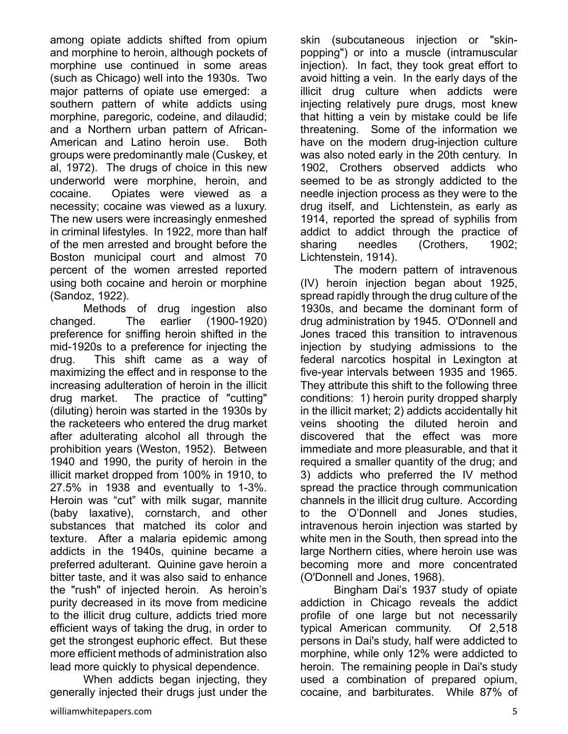among opiate addicts shifted from opium and morphine to heroin, although pockets of morphine use continued in some areas (such as Chicago) well into the 1930s. Two major patterns of opiate use emerged: a southern pattern of white addicts using morphine, paregoric, codeine, and dilaudid; and a Northern urban pattern of African-American and Latino heroin use. Both groups were predominantly male (Cuskey, et al, 1972). The drugs of choice in this new underworld were morphine, heroin, and cocaine. Opiates were viewed as a necessity; cocaine was viewed as a luxury. The new users were increasingly enmeshed in criminal lifestyles. In 1922, more than half of the men arrested and brought before the Boston municipal court and almost 70 percent of the women arrested reported using both cocaine and heroin or morphine (Sandoz, 1922).

Methods of drug ingestion also changed. The earlier (1900-1920) preference for sniffing heroin shifted in the mid-1920s to a preference for injecting the drug. This shift came as a way of maximizing the effect and in response to the increasing adulteration of heroin in the illicit drug market. The practice of "cutting" (diluting) heroin was started in the 1930s by the racketeers who entered the drug market after adulterating alcohol all through the prohibition years (Weston, 1952). Between 1940 and 1990, the purity of heroin in the illicit market dropped from 100% in 1910, to 27.5% in 1938 and eventually to 1-3%. Heroin was "cut" with milk sugar, mannite (baby laxative), cornstarch, and other substances that matched its color and texture. After a malaria epidemic among addicts in the 1940s, quinine became a preferred adulterant. Quinine gave heroin a bitter taste, and it was also said to enhance the "rush" of injected heroin. As heroin's purity decreased in its move from medicine to the illicit drug culture, addicts tried more efficient ways of taking the drug, in order to get the strongest euphoric effect. But these more efficient methods of administration also lead more quickly to physical dependence.

When addicts began injecting, they generally injected their drugs just under the

skin (subcutaneous injection or "skinpopping") or into a muscle (intramuscular injection). In fact, they took great effort to avoid hitting a vein. In the early days of the illicit drug culture when addicts were injecting relatively pure drugs, most knew that hitting a vein by mistake could be life threatening. Some of the information we have on the modern drug-injection culture was also noted early in the 20th century. In 1902, Crothers observed addicts who seemed to be as strongly addicted to the needle injection process as they were to the drug itself, and Lichtenstein, as early as 1914, reported the spread of syphilis from addict to addict through the practice of sharing needles (Crothers, 1902; Lichtenstein, 1914).

The modern pattern of intravenous (IV) heroin injection began about 1925, spread rapidly through the drug culture of the 1930s, and became the dominant form of drug administration by 1945. O'Donnell and Jones traced this transition to intravenous injection by studying admissions to the federal narcotics hospital in Lexington at five-year intervals between 1935 and 1965. They attribute this shift to the following three conditions: 1) heroin purity dropped sharply in the illicit market; 2) addicts accidentally hit veins shooting the diluted heroin and discovered that the effect was more immediate and more pleasurable, and that it required a smaller quantity of the drug; and 3) addicts who preferred the IV method spread the practice through communication channels in the illicit drug culture. According to the O'Donnell and Jones studies, intravenous heroin injection was started by white men in the South, then spread into the large Northern cities, where heroin use was becoming more and more concentrated (O'Donnell and Jones, 1968).

Bingham Dai's 1937 study of opiate addiction in Chicago reveals the addict profile of one large but not necessarily typical American community. Of 2,518 persons in Dai's study, half were addicted to morphine, while only 12% were addicted to heroin. The remaining people in Dai's study used a combination of prepared opium, cocaine, and barbiturates. While 87% of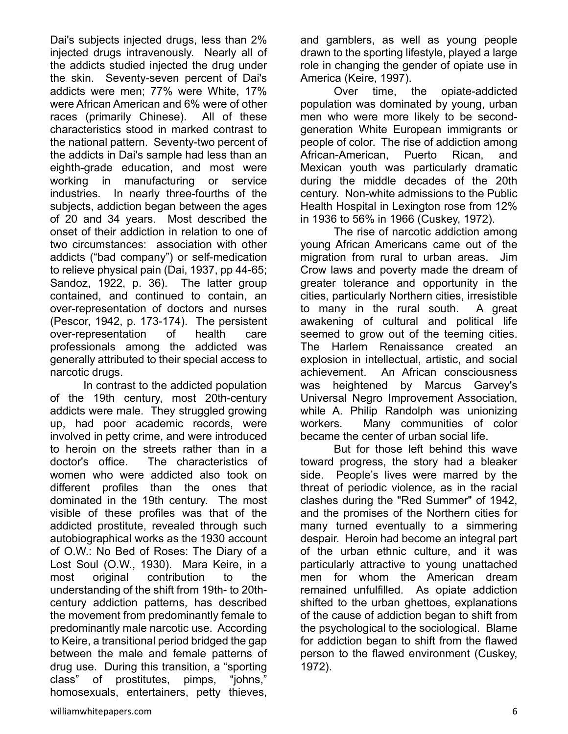Dai's subjects injected drugs, less than 2% injected drugs intravenously. Nearly all of the addicts studied injected the drug under the skin. Seventy-seven percent of Dai's addicts were men; 77% were White, 17% were African American and 6% were of other races (primarily Chinese). All of these characteristics stood in marked contrast to the national pattern. Seventy-two percent of the addicts in Dai's sample had less than an eighth-grade education, and most were working in manufacturing or service industries. In nearly three-fourths of the subjects, addiction began between the ages of 20 and 34 years. Most described the onset of their addiction in relation to one of two circumstances: association with other addicts ("bad company") or self-medication to relieve physical pain (Dai, 1937, pp 44-65; Sandoz, 1922, p. 36). The latter group contained, and continued to contain, an over-representation of doctors and nurses (Pescor, 1942, p. 173-174). The persistent over-representation of health care professionals among the addicted was generally attributed to their special access to narcotic drugs.

 In contrast to the addicted population of the 19th century, most 20th-century addicts were male. They struggled growing up, had poor academic records, were involved in petty crime, and were introduced to heroin on the streets rather than in a doctor's office. The characteristics of women who were addicted also took on different profiles than the ones that dominated in the 19th century. The most visible of these profiles was that of the addicted prostitute, revealed through such autobiographical works as the 1930 account of O.W.: No Bed of Roses: The Diary of a Lost Soul (O.W., 1930). Mara Keire, in a most original contribution to the understanding of the shift from 19th- to 20thcentury addiction patterns, has described the movement from predominantly female to predominantly male narcotic use. According to Keire, a transitional period bridged the gap between the male and female patterns of drug use. During this transition, a "sporting class" of prostitutes, pimps, "johns," homosexuals, entertainers, petty thieves,

and gamblers, as well as young people drawn to the sporting lifestyle, played a large role in changing the gender of opiate use in America (Keire, 1997).

Over time, the opiate-addicted population was dominated by young, urban men who were more likely to be secondgeneration White European immigrants or people of color. The rise of addiction among African-American, Puerto Rican, and Mexican youth was particularly dramatic during the middle decades of the 20th century. Non-white admissions to the Public Health Hospital in Lexington rose from 12% in 1936 to 56% in 1966 (Cuskey, 1972).

The rise of narcotic addiction among young African Americans came out of the migration from rural to urban areas. Jim Crow laws and poverty made the dream of greater tolerance and opportunity in the cities, particularly Northern cities, irresistible to many in the rural south. A great awakening of cultural and political life seemed to grow out of the teeming cities. The Harlem Renaissance created an explosion in intellectual, artistic, and social achievement. An African consciousness was heightened by Marcus Garvey's Universal Negro Improvement Association, while A. Philip Randolph was unionizing workers. Many communities of color became the center of urban social life.

But for those left behind this wave toward progress, the story had a bleaker side. People's lives were marred by the threat of periodic violence, as in the racial clashes during the "Red Summer" of 1942, and the promises of the Northern cities for many turned eventually to a simmering despair. Heroin had become an integral part of the urban ethnic culture, and it was particularly attractive to young unattached men for whom the American dream remained unfulfilled. As opiate addiction shifted to the urban ghettoes, explanations of the cause of addiction began to shift from the psychological to the sociological. Blame for addiction began to shift from the flawed person to the flawed environment (Cuskey, 1972).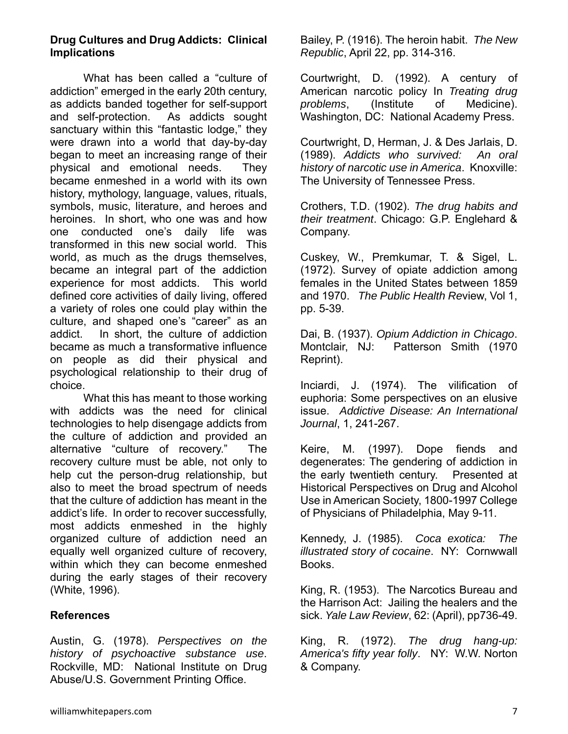#### **Drug Cultures and Drug Addicts: Clinical Implications**

 What has been called a "culture of addiction" emerged in the early 20th century, as addicts banded together for self-support and self-protection. As addicts sought sanctuary within this "fantastic lodge," they were drawn into a world that day-by-day began to meet an increasing range of their physical and emotional needs. They became enmeshed in a world with its own history, mythology, language, values, rituals, symbols, music, literature, and heroes and heroines. In short, who one was and how one conducted one's daily life was transformed in this new social world. This world, as much as the drugs themselves, became an integral part of the addiction experience for most addicts. This world defined core activities of daily living, offered a variety of roles one could play within the culture, and shaped one's "career" as an addict. In short, the culture of addiction became as much a transformative influence on people as did their physical and psychological relationship to their drug of choice.

What this has meant to those working with addicts was the need for clinical technologies to help disengage addicts from the culture of addiction and provided an alternative "culture of recovery." The recovery culture must be able, not only to help cut the person-drug relationship, but also to meet the broad spectrum of needs that the culture of addiction has meant in the addict's life. In order to recover successfully, most addicts enmeshed in the highly organized culture of addiction need an equally well organized culture of recovery, within which they can become enmeshed during the early stages of their recovery (White, 1996).

#### **References**

Austin, G. (1978). *Perspectives on the history of psychoactive substance use*. Rockville, MD: National Institute on Drug Abuse/U.S. Government Printing Office.

Bailey, P. (1916). The heroin habit. *The New Republic*, April 22, pp. 314-316.

Courtwright, D. (1992). A century of American narcotic policy In *Treating drug problems*, (Institute of Medicine). Washington, DC: National Academy Press.

Courtwright, D, Herman, J. & Des Jarlais, D. (1989). *Addicts who survived: An oral history of narcotic use in America*. Knoxville: The University of Tennessee Press.

Crothers, T.D. (1902). *The drug habits and their treatment*. Chicago: G.P. Englehard & Company.

Cuskey, W., Premkumar, T. & Sigel, L. (1972). Survey of opiate addiction among females in the United States between 1859 and 1970. *The Public Health Re*view, Vol 1, pp. 5-39.

Dai, B. (1937). *Opium Addiction in Chicago*. Montclair, NJ: Patterson Smith (1970 Reprint).

Inciardi, J. (1974). The vilification of euphoria: Some perspectives on an elusive issue. *Addictive Disease: An International Journal*, 1, 241-267.

Keire, M. (1997). Dope fiends and degenerates: The gendering of addiction in the early twentieth century. Presented at Historical Perspectives on Drug and Alcohol Use in American Society, 1800-1997 College of Physicians of Philadelphia, May 9-11.

Kennedy, J. (1985). *Coca exotica: The illustrated story of cocaine*. NY: Cornwwall Books.

King, R. (1953). The Narcotics Bureau and the Harrison Act: Jailing the healers and the sick. *Yale Law Review*, 62: (April), pp736-49.

King, R. (1972). *The drug hang-up: America's fifty year folly*. NY: W.W. Norton & Company.